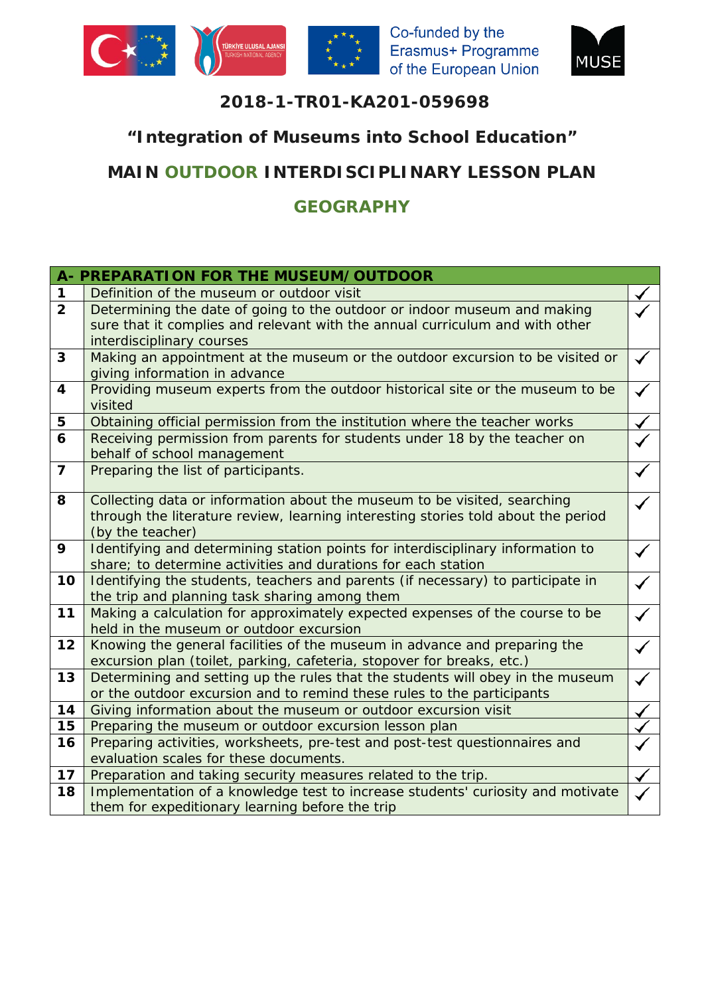



## **2018-1-TR01-KA201-059698**

## **"Integration of Museums into School Education"**

# **MAIN OUTDOOR INTERDISCIPLINARY LESSON PLAN**

## **GEOGRAPHY**

|                         | A- PREPARATION FOR THE MUSEUM/OUTDOOR                                                                          |  |
|-------------------------|----------------------------------------------------------------------------------------------------------------|--|
| $\mathbf 1$             | Definition of the museum or outdoor visit                                                                      |  |
| $\overline{2}$          | Determining the date of going to the outdoor or indoor museum and making                                       |  |
|                         | sure that it complies and relevant with the annual curriculum and with other                                   |  |
|                         | interdisciplinary courses                                                                                      |  |
| 3                       | Making an appointment at the museum or the outdoor excursion to be visited or<br>giving information in advance |  |
| $\overline{\mathbf{4}}$ | Providing museum experts from the outdoor historical site or the museum to be                                  |  |
|                         | visited                                                                                                        |  |
| 5                       | Obtaining official permission from the institution where the teacher works                                     |  |
| 6                       | Receiving permission from parents for students under 18 by the teacher on<br>behalf of school management       |  |
| $\overline{7}$          | Preparing the list of participants.                                                                            |  |
| 8                       | Collecting data or information about the museum to be visited, searching                                       |  |
|                         | through the literature review, learning interesting stories told about the period                              |  |
|                         | (by the teacher)                                                                                               |  |
| 9                       | Identifying and determining station points for interdisciplinary information to                                |  |
|                         | share; to determine activities and durations for each station                                                  |  |
| 10                      | Identifying the students, teachers and parents (if necessary) to participate in                                |  |
|                         | the trip and planning task sharing among them                                                                  |  |
| 11                      | Making a calculation for approximately expected expenses of the course to be                                   |  |
|                         | held in the museum or outdoor excursion                                                                        |  |
| 12                      | Knowing the general facilities of the museum in advance and preparing the                                      |  |
|                         | excursion plan (toilet, parking, cafeteria, stopover for breaks, etc.)                                         |  |
| 13                      | Determining and setting up the rules that the students will obey in the museum                                 |  |
|                         | or the outdoor excursion and to remind these rules to the participants                                         |  |
| 14                      | Giving information about the museum or outdoor excursion visit                                                 |  |
| 15                      | Preparing the museum or outdoor excursion lesson plan                                                          |  |
| 16                      | Preparing activities, worksheets, pre-test and post-test questionnaires and                                    |  |
|                         | evaluation scales for these documents.                                                                         |  |
| 17                      | Preparation and taking security measures related to the trip.                                                  |  |
| 18                      | Implementation of a knowledge test to increase students' curiosity and motivate                                |  |
|                         | them for expeditionary learning before the trip                                                                |  |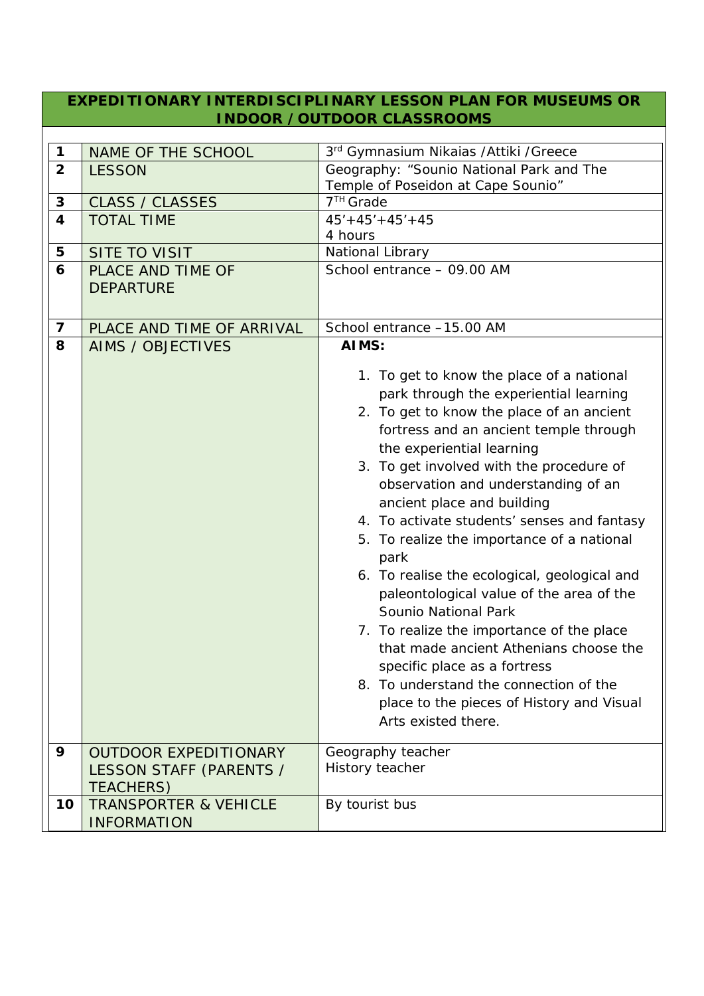#### **EXPEDITIONARY INTERDISCIPLINARY LESSON PLAN FOR MUSEUMS OR INDOOR /OUTDOOR CLASSROOMS**

| $\mathbf 1$             | NAME OF THE SCHOOL                                                          | 3 <sup>rd</sup> Gymnasium Nikaias / Attiki / Greece                                                                                                                                                                                                                                                                                                                                                                                                                                                                                                                                                                                                                                                                                                                                    |
|-------------------------|-----------------------------------------------------------------------------|----------------------------------------------------------------------------------------------------------------------------------------------------------------------------------------------------------------------------------------------------------------------------------------------------------------------------------------------------------------------------------------------------------------------------------------------------------------------------------------------------------------------------------------------------------------------------------------------------------------------------------------------------------------------------------------------------------------------------------------------------------------------------------------|
| $\overline{2}$          | <b>LESSON</b>                                                               | Geography: "Sounio National Park and The                                                                                                                                                                                                                                                                                                                                                                                                                                                                                                                                                                                                                                                                                                                                               |
|                         |                                                                             | Temple of Poseidon at Cape Sounio"                                                                                                                                                                                                                                                                                                                                                                                                                                                                                                                                                                                                                                                                                                                                                     |
| 3                       | <b>CLASS / CLASSES</b>                                                      | 7 <sup>TH</sup> Grade                                                                                                                                                                                                                                                                                                                                                                                                                                                                                                                                                                                                                                                                                                                                                                  |
| $\overline{\mathbf{4}}$ | <b>TOTAL TIME</b>                                                           | $45' + 45' + 45' + 45$                                                                                                                                                                                                                                                                                                                                                                                                                                                                                                                                                                                                                                                                                                                                                                 |
|                         |                                                                             | 4 hours                                                                                                                                                                                                                                                                                                                                                                                                                                                                                                                                                                                                                                                                                                                                                                                |
| 5                       | <b>SITE TO VISIT</b>                                                        | National Library                                                                                                                                                                                                                                                                                                                                                                                                                                                                                                                                                                                                                                                                                                                                                                       |
| 6                       | PLACE AND TIME OF                                                           | School entrance - 09.00 AM                                                                                                                                                                                                                                                                                                                                                                                                                                                                                                                                                                                                                                                                                                                                                             |
|                         | <b>DEPARTURE</b>                                                            |                                                                                                                                                                                                                                                                                                                                                                                                                                                                                                                                                                                                                                                                                                                                                                                        |
|                         |                                                                             |                                                                                                                                                                                                                                                                                                                                                                                                                                                                                                                                                                                                                                                                                                                                                                                        |
| $\overline{\mathbf{z}}$ | PLACE AND TIME OF ARRIVAL                                                   | School entrance -15.00 AM                                                                                                                                                                                                                                                                                                                                                                                                                                                                                                                                                                                                                                                                                                                                                              |
| 8                       | <b>AIMS / OBJECTIVES</b>                                                    | AIMS:                                                                                                                                                                                                                                                                                                                                                                                                                                                                                                                                                                                                                                                                                                                                                                                  |
|                         |                                                                             | 1. To get to know the place of a national<br>park through the experiential learning<br>2. To get to know the place of an ancient<br>fortress and an ancient temple through<br>the experiential learning<br>3. To get involved with the procedure of<br>observation and understanding of an<br>ancient place and building<br>4. To activate students' senses and fantasy<br>5. To realize the importance of a national<br>park<br>6. To realise the ecological, geological and<br>paleontological value of the area of the<br>Sounio National Park<br>7. To realize the importance of the place<br>that made ancient Athenians choose the<br>specific place as a fortress<br>8. To understand the connection of the<br>place to the pieces of History and Visual<br>Arts existed there. |
| 9                       | <b>OUTDOOR EXPEDITIONARY</b><br>LESSON STAFF (PARENTS /<br><b>TEACHERS)</b> | Geography teacher<br>History teacher                                                                                                                                                                                                                                                                                                                                                                                                                                                                                                                                                                                                                                                                                                                                                   |
| 10                      | <b>TRANSPORTER &amp; VEHICLE</b>                                            | By tourist bus                                                                                                                                                                                                                                                                                                                                                                                                                                                                                                                                                                                                                                                                                                                                                                         |
|                         | <b>INFORMATION</b>                                                          |                                                                                                                                                                                                                                                                                                                                                                                                                                                                                                                                                                                                                                                                                                                                                                                        |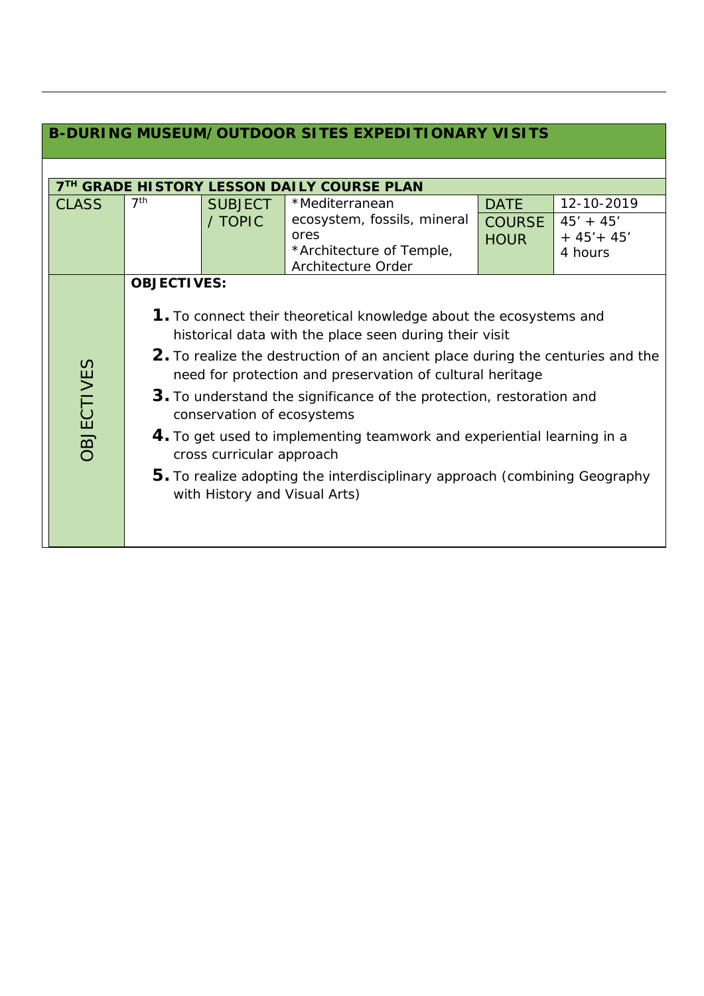| <b>B-DURING MUSEUM/OUTDOOR SITES EXPEDITIONARY VISITS</b> |                    |                                                                                          |                                                                                                                                                                                                                                                                                                                                                                                                                                                                                                             |                                             |                                                       |  |
|-----------------------------------------------------------|--------------------|------------------------------------------------------------------------------------------|-------------------------------------------------------------------------------------------------------------------------------------------------------------------------------------------------------------------------------------------------------------------------------------------------------------------------------------------------------------------------------------------------------------------------------------------------------------------------------------------------------------|---------------------------------------------|-------------------------------------------------------|--|
|                                                           |                    |                                                                                          |                                                                                                                                                                                                                                                                                                                                                                                                                                                                                                             |                                             |                                                       |  |
| <b>CLASS</b>                                              | 7 <sup>th</sup>    | <b>SUBJECT</b><br>/ TOPIC                                                                | <b>7TH GRADE HISTORY LESSON DAILY COURSE PLAN</b><br>*Mediterranean<br>ecosystem, fossils, mineral<br>ores<br>*Architecture of Temple,<br>Architecture Order                                                                                                                                                                                                                                                                                                                                                | <b>DATE</b><br><b>COURSE</b><br><b>HOUR</b> | 12-10-2019<br>$45' + 45'$<br>$+ 45' + 45'$<br>4 hours |  |
| <b>OBJECTIVES</b>                                         | <b>OBJECTIVES:</b> | conservation of ecosystems<br>cross curricular approach<br>with History and Visual Arts) | 1. To connect their theoretical knowledge about the ecosystems and<br>historical data with the place seen during their visit<br>2. To realize the destruction of an ancient place during the centuries and the<br>need for protection and preservation of cultural heritage<br>3. To understand the significance of the protection, restoration and<br>4. To get used to implementing teamwork and experiential learning in a<br>5. To realize adopting the interdisciplinary approach (combining Geography |                                             |                                                       |  |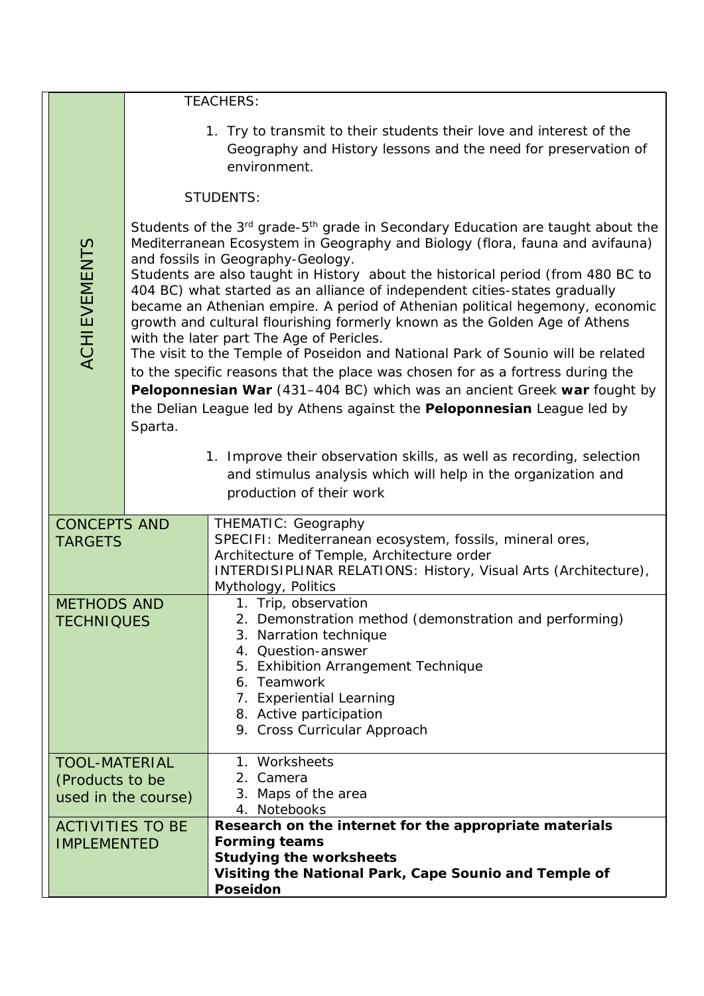|                                                                |                                                                                                                                                                                                                                                                                                                                                                                                                                                                                                                                                                                                                                                                                                                                                                                                                                                                                                                                               | <b>TEACHERS:</b>                                                                                                                                                                                                                                                            |  |  |  |  |
|----------------------------------------------------------------|-----------------------------------------------------------------------------------------------------------------------------------------------------------------------------------------------------------------------------------------------------------------------------------------------------------------------------------------------------------------------------------------------------------------------------------------------------------------------------------------------------------------------------------------------------------------------------------------------------------------------------------------------------------------------------------------------------------------------------------------------------------------------------------------------------------------------------------------------------------------------------------------------------------------------------------------------|-----------------------------------------------------------------------------------------------------------------------------------------------------------------------------------------------------------------------------------------------------------------------------|--|--|--|--|
|                                                                | 1. Try to transmit to their students their love and interest of the<br>Geography and History lessons and the need for preservation of<br>environment.                                                                                                                                                                                                                                                                                                                                                                                                                                                                                                                                                                                                                                                                                                                                                                                         |                                                                                                                                                                                                                                                                             |  |  |  |  |
|                                                                |                                                                                                                                                                                                                                                                                                                                                                                                                                                                                                                                                                                                                                                                                                                                                                                                                                                                                                                                               | <b>STUDENTS:</b>                                                                                                                                                                                                                                                            |  |  |  |  |
| <b>ACHIEVEMENTS</b>                                            | Students of the 3 <sup>rd</sup> grade-5 <sup>th</sup> grade in Secondary Education are taught about the<br>Mediterranean Ecosystem in Geography and Biology (flora, fauna and avifauna)<br>and fossils in Geography-Geology.<br>Students are also taught in History about the historical period (from 480 BC to<br>404 BC) what started as an alliance of independent cities-states gradually<br>became an Athenian empire. A period of Athenian political hegemony, economic<br>growth and cultural flourishing formerly known as the Golden Age of Athens<br>with the later part The Age of Pericles.<br>The visit to the Temple of Poseidon and National Park of Sounio will be related<br>to the specific reasons that the place was chosen for as a fortress during the<br>Peloponnesian War (431–404 BC) which was an ancient Greek war fought by<br>the Delian League led by Athens against the Peloponnesian League led by<br>Sparta. |                                                                                                                                                                                                                                                                             |  |  |  |  |
|                                                                |                                                                                                                                                                                                                                                                                                                                                                                                                                                                                                                                                                                                                                                                                                                                                                                                                                                                                                                                               | 1. Improve their observation skills, as well as recording, selection<br>and stimulus analysis which will help in the organization and<br>production of their work                                                                                                           |  |  |  |  |
| <b>CONCEPTS AND</b><br><b>TARGETS</b>                          |                                                                                                                                                                                                                                                                                                                                                                                                                                                                                                                                                                                                                                                                                                                                                                                                                                                                                                                                               | THEMATIC: Geography<br>SPECIFI: Mediterranean ecosystem, fossils, mineral ores,<br>Architecture of Temple, Architecture order<br>INTERDISIPLINAR RELATIONS: History, Visual Arts (Architecture),<br>Mythology, Politics                                                     |  |  |  |  |
| <b>METHODS AND</b><br><b>TECHNIQUES</b>                        |                                                                                                                                                                                                                                                                                                                                                                                                                                                                                                                                                                                                                                                                                                                                                                                                                                                                                                                                               | 1. Trip, observation<br>2. Demonstration method (demonstration and performing)<br>3. Narration technique<br>4. Question-answer<br>5. Exhibition Arrangement Technique<br>6. Teamwork<br>7. Experiential Learning<br>8. Active participation<br>9. Cross Curricular Approach |  |  |  |  |
| <b>TOOL-MATERIAL</b><br>(Products to be<br>used in the course) |                                                                                                                                                                                                                                                                                                                                                                                                                                                                                                                                                                                                                                                                                                                                                                                                                                                                                                                                               | 1. Worksheets<br>2. Camera<br>3. Maps of the area<br>4. Notebooks                                                                                                                                                                                                           |  |  |  |  |
| <b>ACTIVITIES TO BE</b><br><b>IMPLEMENTED</b>                  |                                                                                                                                                                                                                                                                                                                                                                                                                                                                                                                                                                                                                                                                                                                                                                                                                                                                                                                                               | Research on the internet for the appropriate materials<br><b>Forming teams</b><br><b>Studying the worksheets</b><br>Visiting the National Park, Cape Sounio and Temple of<br><b>Poseidon</b>                                                                                |  |  |  |  |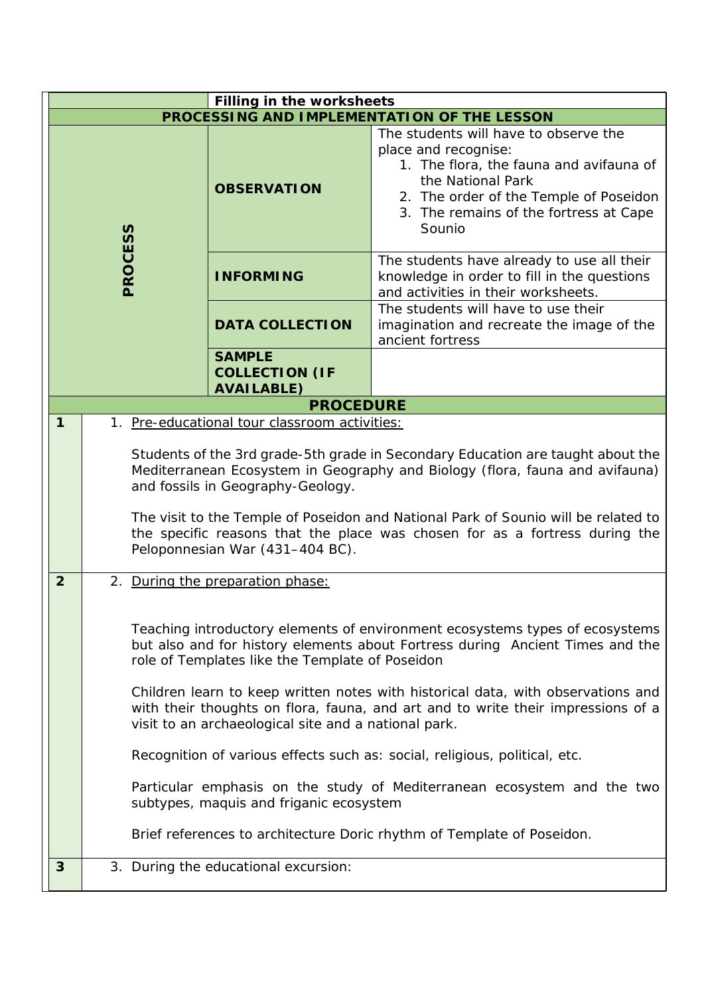| <b>Filling in the worksheets</b>            |                                                                                                                                                                                                                                                                                                                                                                                                                                                                                                                                                                                                                                                                                                                                |                                                             |                                                                                                                                                                                                                             |  |
|---------------------------------------------|--------------------------------------------------------------------------------------------------------------------------------------------------------------------------------------------------------------------------------------------------------------------------------------------------------------------------------------------------------------------------------------------------------------------------------------------------------------------------------------------------------------------------------------------------------------------------------------------------------------------------------------------------------------------------------------------------------------------------------|-------------------------------------------------------------|-----------------------------------------------------------------------------------------------------------------------------------------------------------------------------------------------------------------------------|--|
| PROCESSING AND IMPLEMENTATION OF THE LESSON |                                                                                                                                                                                                                                                                                                                                                                                                                                                                                                                                                                                                                                                                                                                                |                                                             |                                                                                                                                                                                                                             |  |
| PROCESS                                     |                                                                                                                                                                                                                                                                                                                                                                                                                                                                                                                                                                                                                                                                                                                                | <b>OBSERVATION</b>                                          | The students will have to observe the<br>place and recognise:<br>1. The flora, the fauna and avifauna of<br>the National Park<br>2. The order of the Temple of Poseidon<br>3. The remains of the fortress at Cape<br>Sounio |  |
|                                             |                                                                                                                                                                                                                                                                                                                                                                                                                                                                                                                                                                                                                                                                                                                                | <b>INFORMING</b>                                            | The students have already to use all their<br>knowledge in order to fill in the questions<br>and activities in their worksheets.                                                                                            |  |
|                                             |                                                                                                                                                                                                                                                                                                                                                                                                                                                                                                                                                                                                                                                                                                                                | <b>DATA COLLECTION</b>                                      | The students will have to use their<br>imagination and recreate the image of the<br>ancient fortress                                                                                                                        |  |
|                                             |                                                                                                                                                                                                                                                                                                                                                                                                                                                                                                                                                                                                                                                                                                                                | <b>SAMPLE</b><br><b>COLLECTION (IF</b><br><b>AVAILABLE)</b> |                                                                                                                                                                                                                             |  |
|                                             |                                                                                                                                                                                                                                                                                                                                                                                                                                                                                                                                                                                                                                                                                                                                | <b>PROCEDURE</b>                                            |                                                                                                                                                                                                                             |  |
| $\mathbf{1}$                                |                                                                                                                                                                                                                                                                                                                                                                                                                                                                                                                                                                                                                                                                                                                                | 1. Pre-educational tour classroom activities:               |                                                                                                                                                                                                                             |  |
|                                             | Students of the 3rd grade-5th grade in Secondary Education are taught about the<br>Mediterranean Ecosystem in Geography and Biology (flora, fauna and avifauna)<br>and fossils in Geography-Geology.<br>The visit to the Temple of Poseidon and National Park of Sounio will be related to<br>the specific reasons that the place was chosen for as a fortress during the<br>Peloponnesian War (431-404 BC).                                                                                                                                                                                                                                                                                                                   |                                                             |                                                                                                                                                                                                                             |  |
| $\overline{2}$                              |                                                                                                                                                                                                                                                                                                                                                                                                                                                                                                                                                                                                                                                                                                                                | 2. During the preparation phase:                            |                                                                                                                                                                                                                             |  |
|                                             | Teaching introductory elements of environment ecosystems types of ecosystems<br>but also and for history elements about Fortress during Ancient Times and the<br>role of Templates like the Template of Poseidon<br>Children learn to keep written notes with historical data, with observations and<br>with their thoughts on flora, fauna, and art and to write their impressions of a<br>visit to an archaeological site and a national park.<br>Recognition of various effects such as: social, religious, political, etc.<br>Particular emphasis on the study of Mediterranean ecosystem and the two<br>subtypes, maquis and friganic ecosystem<br>Brief references to architecture Doric rhythm of Template of Poseidon. |                                                             |                                                                                                                                                                                                                             |  |
| 3                                           | 3. During the educational excursion:                                                                                                                                                                                                                                                                                                                                                                                                                                                                                                                                                                                                                                                                                           |                                                             |                                                                                                                                                                                                                             |  |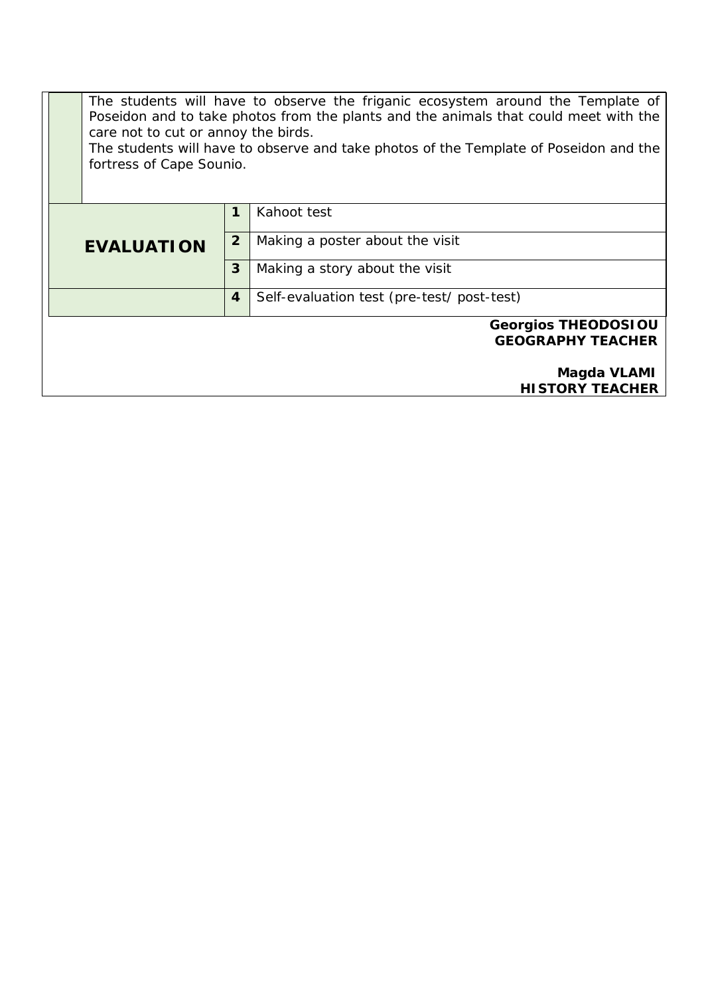The students will have to observe the friganic ecosystem around the Template of Poseidon and to take photos from the plants and the animals that could meet with the care not to cut or annoy the birds.

The students will have to observe and take photos of the Template of Poseidon and the fortress of Cape Sounio.

|                                                        | 1            | Kahoot test                                |  |
|--------------------------------------------------------|--------------|--------------------------------------------|--|
| <b>EVALUATION</b>                                      | $\mathbf{2}$ | Making a poster about the visit            |  |
|                                                        | 3            | Making a story about the visit             |  |
|                                                        | 4            | Self-evaluation test (pre-test/ post-test) |  |
| <b>Georgios THEODOSIOU</b><br><b>GEOGRAPHY TEACHER</b> |              |                                            |  |
|                                                        |              | Magda VLAMI                                |  |
|                                                        |              | <b>HISTORY TEACHER</b>                     |  |